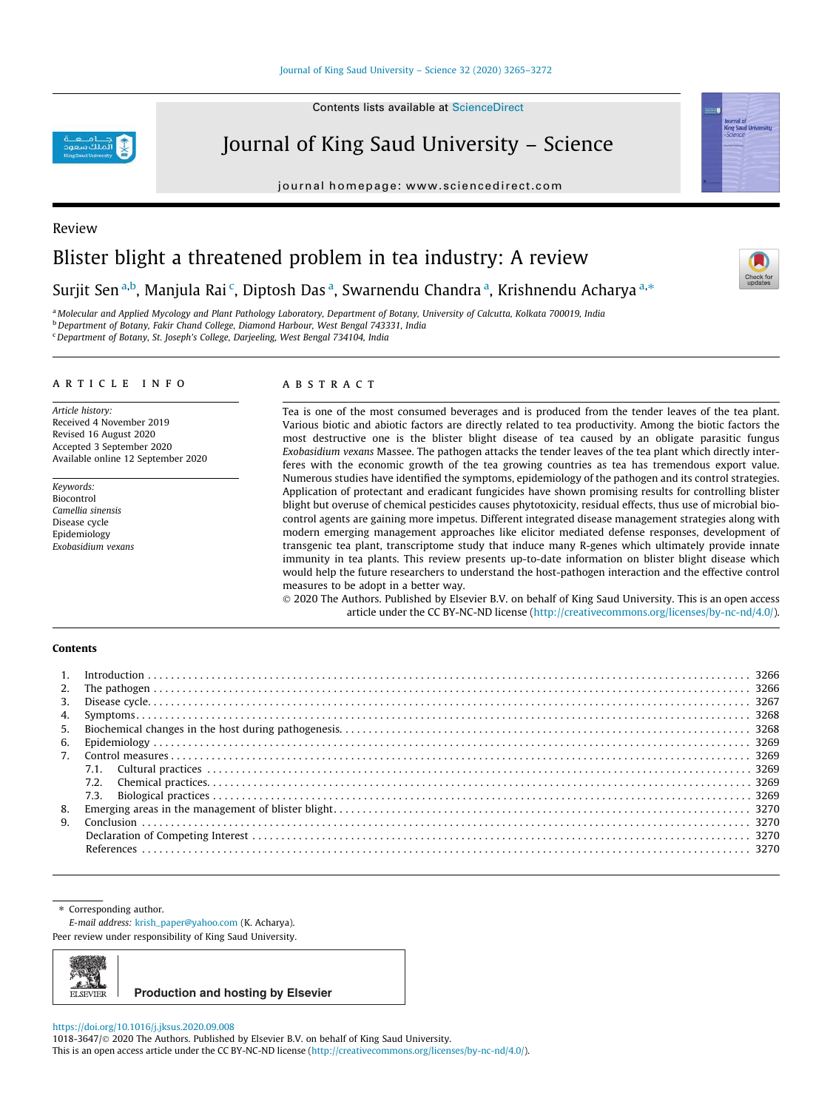Contents lists available at ScienceDirect

Review

Journal of King Saud University – Science

journal homepage: www.sciencedirect.com

# Blister blight a threatened problem in tea industry: A review

## Surjit Sen <sup>a,b</sup>, Manjula Rai <sup>c</sup>, Diptosh Das <sup>a</sup>, Swarnendu Chandra <sup>a</sup>, Krishnendu Acharya <sup>a,</sup>\*

<sup>a</sup> *Molecular and Applied Mycology and Plant Pathology Laboratory, Department of Botany, University of Calcutta, Kolkata 700019, India* <sup>b</sup>*Department of Botany, Fakir Chand College, Diamond Harbour, West Bengal 743331, India*

<sup>c</sup>*Department of Botany, St. Joseph's College, Darjeeling, West Bengal 734104, India*

#### article info

*Article history:* Received 4 November 2019 Revised 16 August 2020 Accepted 3 September 2020 Available online 12 September 2020

*Keywords:* Biocontrol *Camellia sinensis* Disease cycle Epidemiology *Exobasidium vexans*

#### ABSTRACT

Tea is one of the most consumed beverages and is produced from the tender leaves of the tea plant. Various biotic and abiotic factors are directly related to tea productivity. Among the biotic factors the most destructive one is the blister blight disease of tea caused by an obligate parasitic fungus *Exobasidium vexans* Massee. The pathogen attacks the tender leaves of the tea plant which directly interferes with the economic growth of the tea growing countries as tea has tremendous export value. Numerous studies have identified the symptoms, epidemiology of the pathogen and its control strategies. Application of protectant and eradicant fungicides have shown promising results for controlling blister blight but overuse of chemical pesticides causes phytotoxicity, residual effects, thus use of microbial biocontrol agents are gaining more impetus. Different integrated disease management strategies along with modern emerging management approaches like elicitor mediated defense responses, development of transgenic tea plant, transcriptome study that induce many R-genes which ultimately provide innate immunity in tea plants. This review presents up-to-date information on blister blight disease which would help the future researchers to understand the host-pathogen interaction and the effective control measures to be adopt in a better way.

 2020 The Authors. Published by Elsevier B.V. on behalf of King Saud University. This is an open access article under the CC BY-NC-ND license (http://creativecommons.org/licenses/by-nc-nd/4.0/).

#### **Contents**

| 3. |  |
|----|--|
|    |  |
| 5. |  |
|    |  |
|    |  |
|    |  |
|    |  |
|    |  |
| 8. |  |
| 9. |  |
|    |  |
|    |  |
|    |  |

⇑ Corresponding author.

*E-mail address:* krish\_paper@yahoo.com (K. Acharya).

Peer review under responsibility of King Saud University.



**Production and hosting by Elsevier**

https://doi.org/10.1016/j.jksus.2020.09.008

1018-3647/ 2020 The Authors. Published by Elsevier B.V. on behalf of King Saud University.

This is an open access article under the CC BY-NC-ND license (http://creativecommons.org/licenses/by-nc-nd/4.0/).

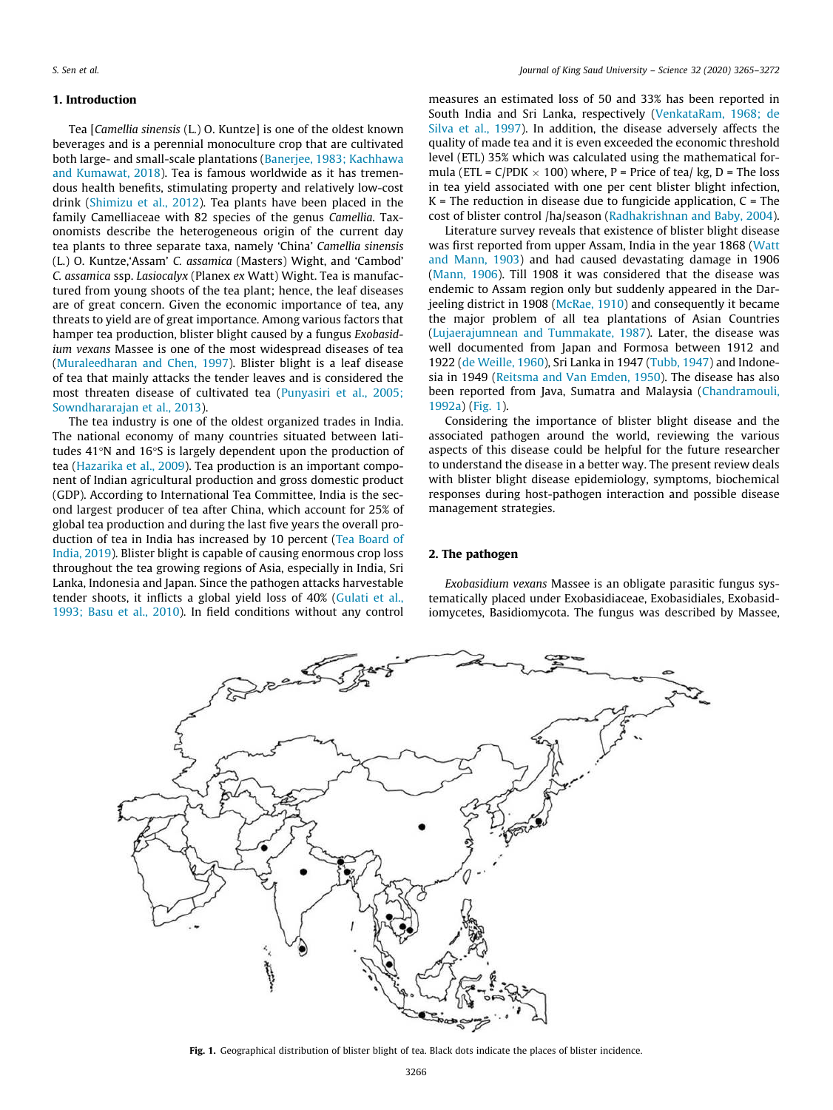## 1. Introduction

Tea [*Camellia sinensis* (L.) O. Kuntze] is one of the oldest known beverages and is a perennial monoculture crop that are cultivated both large- and small-scale plantations (Banerjee, 1983; Kachhawa and Kumawat, 2018). Tea is famous worldwide as it has tremendous health benefits, stimulating property and relatively low-cost drink (Shimizu et al., 2012). Tea plants have been placed in the family Camelliaceae with 82 species of the genus *Camellia*. Taxonomists describe the heterogeneous origin of the current day tea plants to three separate taxa, namely 'China' *Camellia sinensis* (L.) O. Kuntze,'Assam' *C. assamica* (Masters) Wight, and 'Cambod' *C. assamica* ssp. *Lasiocalyx* (Planex *ex* Watt) Wight. Tea is manufactured from young shoots of the tea plant; hence, the leaf diseases are of great concern. Given the economic importance of tea, any threats to yield are of great importance. Among various factors that hamper tea production, blister blight caused by a fungus *Exobasidium vexans* Massee is one of the most widespread diseases of tea (Muraleedharan and Chen, 1997). Blister blight is a leaf disease of tea that mainly attacks the tender leaves and is considered the most threaten disease of cultivated tea (Punyasiri et al., 2005; Sowndhararajan et al., 2013).

The tea industry is one of the oldest organized trades in India. The national economy of many countries situated between latitudes  $41^\circ$ N and  $16^\circ$ S is largely dependent upon the production of tea (Hazarika et al., 2009). Tea production is an important component of Indian agricultural production and gross domestic product (GDP). According to International Tea Committee, India is the second largest producer of tea after China, which account for 25% of global tea production and during the last five years the overall production of tea in India has increased by 10 percent (Tea Board of India, 2019). Blister blight is capable of causing enormous crop loss throughout the tea growing regions of Asia, especially in India, Sri Lanka, Indonesia and Japan. Since the pathogen attacks harvestable tender shoots, it inflicts a global yield loss of 40% (Gulati et al., 1993; Basu et al., 2010). In field conditions without any control measures an estimated loss of 50 and 33% has been reported in South India and Sri Lanka, respectively (VenkataRam, 1968; de Silva et al., 1997). In addition, the disease adversely affects the quality of made tea and it is even exceeded the economic threshold level (ETL) 35% which was calculated using the mathematical formula (ETL =  $C/PDK \times 100$ ) where, P = Price of tea/ kg, D = The loss in tea yield associated with one per cent blister blight infection,  $K =$  The reduction in disease due to fungicide application,  $C =$  The cost of blister control /ha/season (Radhakrishnan and Baby, 2004).

Literature survey reveals that existence of blister blight disease was first reported from upper Assam, India in the year 1868 (Watt and Mann, 1903) and had caused devastating damage in 1906 (Mann, 1906). Till 1908 it was considered that the disease was endemic to Assam region only but suddenly appeared in the Darjeeling district in 1908 (McRae, 1910) and consequently it became the major problem of all tea plantations of Asian Countries (Lujaerajumnean and Tummakate, 1987). Later, the disease was well documented from Japan and Formosa between 1912 and 1922 (de Weille, 1960), Sri Lanka in 1947 (Tubb, 1947) and Indonesia in 1949 (Reitsma and Van Emden, 1950). The disease has also been reported from Java, Sumatra and Malaysia (Chandramouli, 1992a) (Fig. 1).

Considering the importance of blister blight disease and the associated pathogen around the world, reviewing the various aspects of this disease could be helpful for the future researcher to understand the disease in a better way. The present review deals with blister blight disease epidemiology, symptoms, biochemical responses during host-pathogen interaction and possible disease management strategies.

#### 2. The pathogen

*Exobasidium vexans* Massee is an obligate parasitic fungus systematically placed under Exobasidiaceae, Exobasidiales, Exobasidiomycetes, Basidiomycota. The fungus was described by Massee,



Fig. 1. Geographical distribution of blister blight of tea. Black dots indicate the places of blister incidence.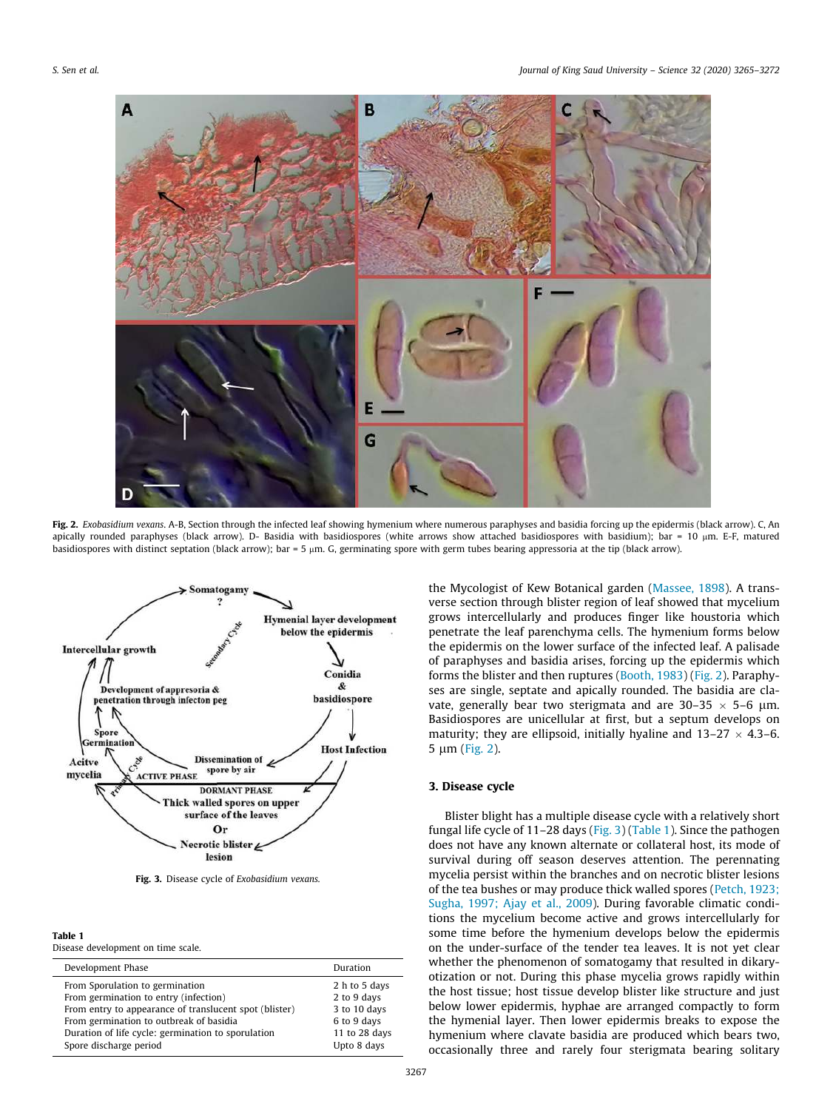

Fig. 2. *Exobasidium vexans*. A-B, Section through the infected leaf showing hymenium where numerous paraphyses and basidia forcing up the epidermis (black arrow). C, An apically rounded paraphyses (black arrow). D- Basidia with basidiospores (white arrows show attached basidiospores with basidium); bar = 10 µm. E-F, matured basidiospores with distinct septation (black arrow); bar = 5 µm. G, germinating spore with germ tubes bearing appressoria at the tip (black arrow).



Fig. 3. Disease cycle of *Exobasidium vexans.*

#### Table 1

Disease development on time scale.

| Development Phase                                      | Duration      |
|--------------------------------------------------------|---------------|
| From Sporulation to germination                        | 2 h to 5 days |
| From germination to entry (infection)                  | 2 to 9 days   |
| From entry to appearance of translucent spot (blister) | 3 to 10 days  |
| From germination to outbreak of basidia                | 6 to 9 days   |
| Duration of life cycle: germination to sporulation     | 11 to 28 days |
| Spore discharge period                                 | Upto 8 days   |

the Mycologist of Kew Botanical garden (Massee, 1898). A transverse section through blister region of leaf showed that mycelium grows intercellularly and produces finger like houstoria which penetrate the leaf parenchyma cells. The hymenium forms below the epidermis on the lower surface of the infected leaf. A palisade of paraphyses and basidia arises, forcing up the epidermis which forms the blister and then ruptures (Booth, 1983) (Fig. 2). Paraphyses are single, septate and apically rounded. The basidia are clavate, generally bear two sterigmata and are 30–35  $\times$  5–6 µm. Basidiospores are unicellular at first, but a septum develops on maturity; they are ellipsoid, initially hyaline and  $13-27 \times 4.3-6$ .  $5 \mu m$  (Fig. 2).

## 3. Disease cycle

Blister blight has a multiple disease cycle with a relatively short fungal life cycle of 11–28 days (Fig. 3) (Table 1). Since the pathogen does not have any known alternate or collateral host, its mode of survival during off season deserves attention. The perennating mycelia persist within the branches and on necrotic blister lesions of the tea bushes or may produce thick walled spores (Petch, 1923; Sugha, 1997; Ajay et al., 2009). During favorable climatic conditions the mycelium become active and grows intercellularly for some time before the hymenium develops below the epidermis on the under-surface of the tender tea leaves. It is not yet clear whether the phenomenon of somatogamy that resulted in dikaryotization or not. During this phase mycelia grows rapidly within the host tissue; host tissue develop blister like structure and just below lower epidermis, hyphae are arranged compactly to form the hymenial layer. Then lower epidermis breaks to expose the hymenium where clavate basidia are produced which bears two, occasionally three and rarely four sterigmata bearing solitary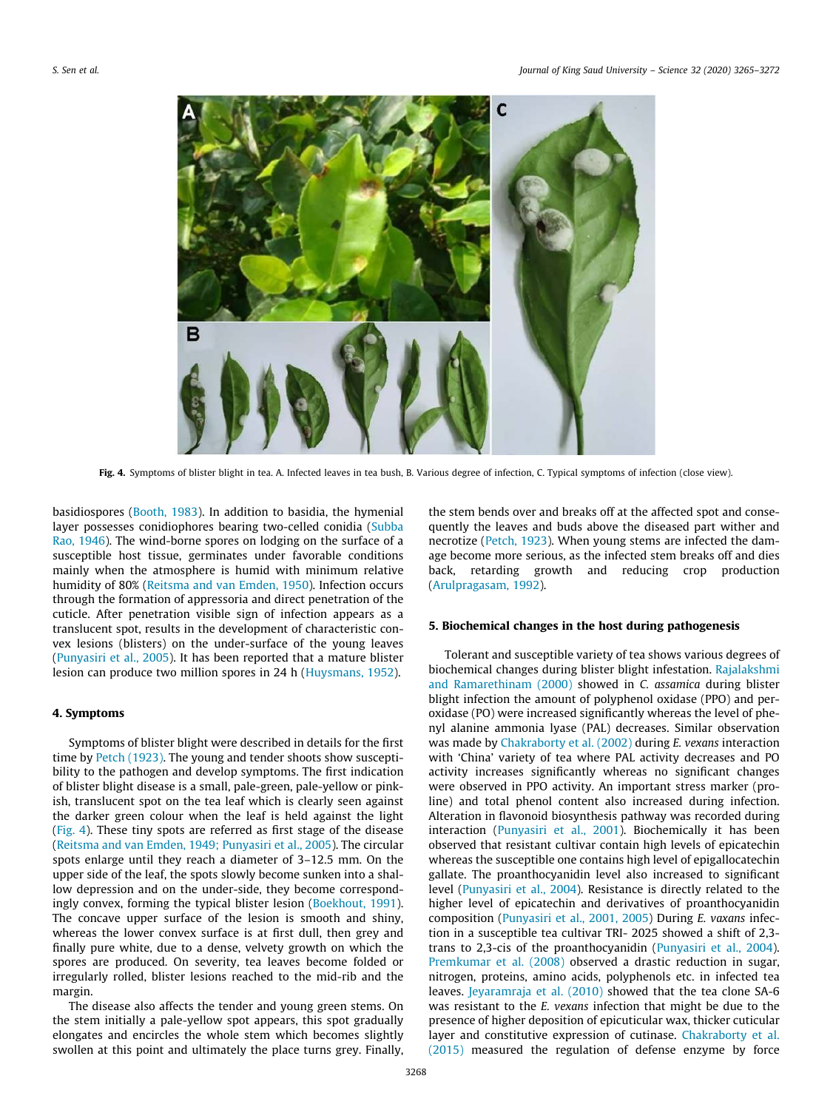

Fig. 4. Symptoms of blister blight in tea. A. Infected leaves in tea bush, B. Various degree of infection, C. Typical symptoms of infection (close view).

basidiospores (Booth, 1983). In addition to basidia, the hymenial layer possesses conidiophores bearing two-celled conidia (Subba Rao, 1946). The wind-borne spores on lodging on the surface of a susceptible host tissue, germinates under favorable conditions mainly when the atmosphere is humid with minimum relative humidity of 80% (Reitsma and van Emden, 1950). Infection occurs through the formation of appressoria and direct penetration of the cuticle. After penetration visible sign of infection appears as a translucent spot, results in the development of characteristic convex lesions (blisters) on the under-surface of the young leaves (Punyasiri et al., 2005). It has been reported that a mature blister lesion can produce two million spores in 24 h (Huysmans, 1952).

### 4. Symptoms

Symptoms of blister blight were described in details for the first time by Petch (1923). The young and tender shoots show susceptibility to the pathogen and develop symptoms. The first indication of blister blight disease is a small, pale-green, pale-yellow or pinkish, translucent spot on the tea leaf which is clearly seen against the darker green colour when the leaf is held against the light (Fig. 4). These tiny spots are referred as first stage of the disease (Reitsma and van Emden, 1949; Punyasiri et al., 2005). The circular spots enlarge until they reach a diameter of 3–12.5 mm. On the upper side of the leaf, the spots slowly become sunken into a shallow depression and on the under-side, they become correspondingly convex, forming the typical blister lesion (Boekhout, 1991). The concave upper surface of the lesion is smooth and shiny, whereas the lower convex surface is at first dull, then grey and finally pure white, due to a dense, velvety growth on which the spores are produced. On severity, tea leaves become folded or irregularly rolled, blister lesions reached to the mid-rib and the margin.

The disease also affects the tender and young green stems. On the stem initially a pale-yellow spot appears, this spot gradually elongates and encircles the whole stem which becomes slightly swollen at this point and ultimately the place turns grey. Finally, the stem bends over and breaks off at the affected spot and consequently the leaves and buds above the diseased part wither and necrotize (Petch, 1923). When young stems are infected the damage become more serious, as the infected stem breaks off and dies back, retarding growth and reducing crop production (Arulpragasam, 1992).

#### 5. Biochemical changes in the host during pathogenesis

Tolerant and susceptible variety of tea shows various degrees of biochemical changes during blister blight infestation. Rajalakshmi and Ramarethinam (2000) showed in *C. assamica* during blister blight infection the amount of polyphenol oxidase (PPO) and peroxidase (PO) were increased significantly whereas the level of phenyl alanine ammonia lyase (PAL) decreases. Similar observation was made by Chakraborty et al. (2002) during *E. vexans* interaction with 'China' variety of tea where PAL activity decreases and PO activity increases significantly whereas no significant changes were observed in PPO activity. An important stress marker (proline) and total phenol content also increased during infection. Alteration in flavonoid biosynthesis pathway was recorded during interaction (Punyasiri et al., 2001). Biochemically it has been observed that resistant cultivar contain high levels of epicatechin whereas the susceptible one contains high level of epigallocatechin gallate. The proanthocyanidin level also increased to significant level (Punyasiri et al., 2004). Resistance is directly related to the higher level of epicatechin and derivatives of proanthocyanidin composition (Punyasiri et al., 2001, 2005) During *E. vaxans* infection in a susceptible tea cultivar TRI- 2025 showed a shift of 2,3 trans to 2,3-cis of the proanthocyanidin (Punyasiri et al., 2004). Premkumar et al. (2008) observed a drastic reduction in sugar, nitrogen, proteins, amino acids, polyphenols etc. in infected tea leaves. Jeyaramraja et al. (2010) showed that the tea clone SA-6 was resistant to the *E. vexans* infection that might be due to the presence of higher deposition of epicuticular wax, thicker cuticular layer and constitutive expression of cutinase. Chakraborty et al. (2015) measured the regulation of defense enzyme by force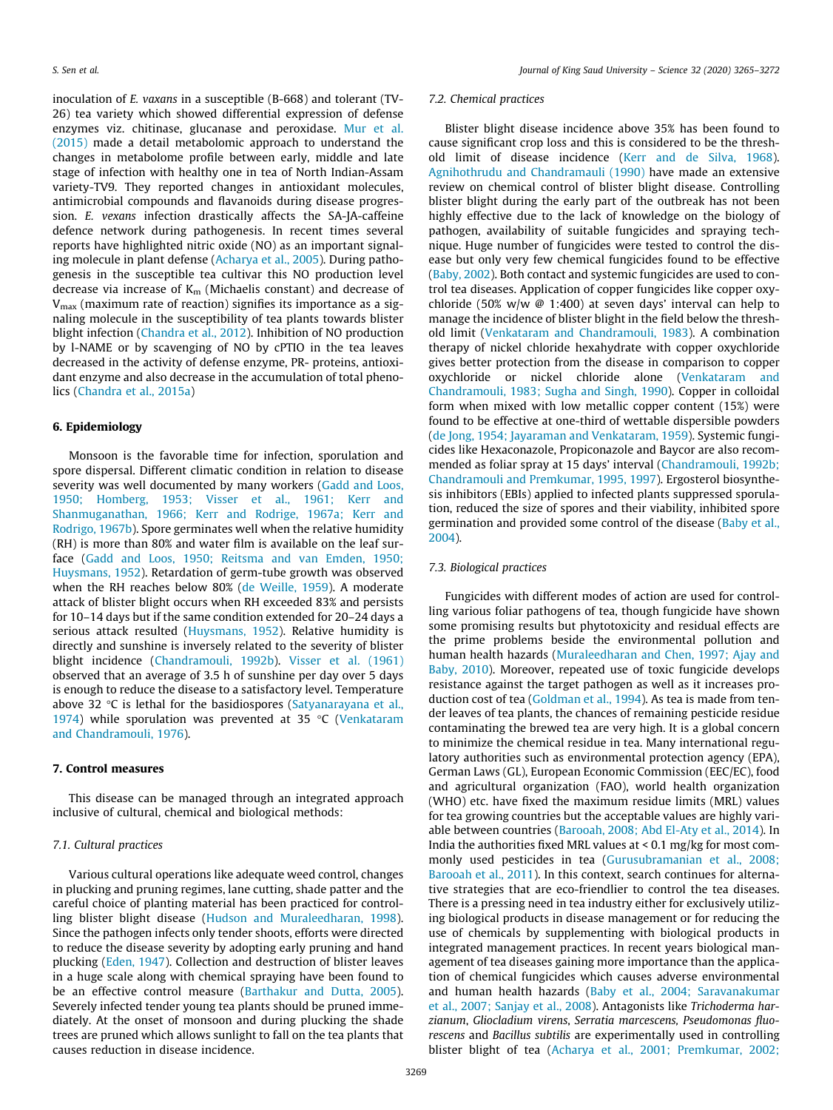inoculation of *E. vaxans* in a susceptible (B-668) and tolerant (TV-26) tea variety which showed differential expression of defense enzymes viz. chitinase, glucanase and peroxidase. Mur et al. (2015) made a detail metabolomic approach to understand the changes in metabolome profile between early, middle and late stage of infection with healthy one in tea of North Indian-Assam variety-TV9. They reported changes in antioxidant molecules, antimicrobial compounds and flavanoids during disease progression. *E. vexans* infection drastically affects the SA-JA-caffeine defence network during pathogenesis. In recent times several reports have highlighted nitric oxide (NO) as an important signaling molecule in plant defense (Acharya et al., 2005). During pathogenesis in the susceptible tea cultivar this NO production level decrease via increase of  $K_m$  (Michaelis constant) and decrease of  $V_{\text{max}}$  (maximum rate of reaction) signifies its importance as a signaling molecule in the susceptibility of tea plants towards blister blight infection (Chandra et al., 2012). Inhibition of NO production by l-NAME or by scavenging of NO by cPTIO in the tea leaves decreased in the activity of defense enzyme, PR- proteins, antioxidant enzyme and also decrease in the accumulation of total phenolics (Chandra et al., 2015a)

#### 6. Epidemiology

Monsoon is the favorable time for infection, sporulation and spore dispersal. Different climatic condition in relation to disease severity was well documented by many workers (Gadd and Loos, 1950; Homberg, 1953; Visser et al., 1961; Kerr and Shanmuganathan, 1966; Kerr and Rodrige, 1967a; Kerr and Rodrigo, 1967b). Spore germinates well when the relative humidity (RH) is more than 80% and water film is available on the leaf surface (Gadd and Loos, 1950; Reitsma and van Emden, 1950; Huysmans, 1952). Retardation of germ-tube growth was observed when the RH reaches below 80% (de Weille, 1959). A moderate attack of blister blight occurs when RH exceeded 83% and persists for 10–14 days but if the same condition extended for 20–24 days a serious attack resulted (Huysmans, 1952). Relative humidity is directly and sunshine is inversely related to the severity of blister blight incidence (Chandramouli, 1992b). Visser et al. (1961) observed that an average of 3.5 h of sunshine per day over 5 days is enough to reduce the disease to a satisfactory level. Temperature above 32  $\degree$ C is lethal for the basidiospores (Satyanarayana et al., 1974) while sporulation was prevented at 35  $°C$  (Venkataram and Chandramouli, 1976).

#### 7. Control measures

This disease can be managed through an integrated approach inclusive of cultural, chemical and biological methods:

#### *7.1. Cultural practices*

Various cultural operations like adequate weed control, changes in plucking and pruning regimes, lane cutting, shade patter and the careful choice of planting material has been practiced for controlling blister blight disease (Hudson and Muraleedharan, 1998). Since the pathogen infects only tender shoots, efforts were directed to reduce the disease severity by adopting early pruning and hand plucking (Eden, 1947). Collection and destruction of blister leaves in a huge scale along with chemical spraying have been found to be an effective control measure (Barthakur and Dutta, 2005). Severely infected tender young tea plants should be pruned immediately. At the onset of monsoon and during plucking the shade trees are pruned which allows sunlight to fall on the tea plants that causes reduction in disease incidence.

#### *7.2. Chemical practices*

Blister blight disease incidence above 35% has been found to cause significant crop loss and this is considered to be the threshold limit of disease incidence (Kerr and de Silva, 1968). Agnihothrudu and Chandramauli (1990) have made an extensive review on chemical control of blister blight disease. Controlling blister blight during the early part of the outbreak has not been highly effective due to the lack of knowledge on the biology of pathogen, availability of suitable fungicides and spraying technique. Huge number of fungicides were tested to control the disease but only very few chemical fungicides found to be effective (Baby, 2002). Both contact and systemic fungicides are used to control tea diseases. Application of copper fungicides like copper oxychloride (50% w/w  $\omega$  1:400) at seven days' interval can help to manage the incidence of blister blight in the field below the threshold limit (Venkataram and Chandramouli, 1983). A combination therapy of nickel chloride hexahydrate with copper oxychloride gives better protection from the disease in comparison to copper oxychloride or nickel chloride alone (Venkataram and Chandramouli, 1983; Sugha and Singh, 1990). Copper in colloidal form when mixed with low metallic copper content (15%) were found to be effective at one-third of wettable dispersible powders (de Jong, 1954; Jayaraman and Venkataram, 1959). Systemic fungicides like Hexaconazole, Propiconazole and Baycor are also recommended as foliar spray at 15 days' interval (Chandramouli, 1992b; Chandramouli and Premkumar, 1995, 1997). Ergosterol biosynthesis inhibitors (EBIs) applied to infected plants suppressed sporulation, reduced the size of spores and their viability, inhibited spore germination and provided some control of the disease (Baby et al., 2004).

#### *7.3. Biological practices*

Fungicides with different modes of action are used for controlling various foliar pathogens of tea, though fungicide have shown some promising results but phytotoxicity and residual effects are the prime problems beside the environmental pollution and human health hazards (Muraleedharan and Chen, 1997; Ajay and Baby, 2010). Moreover, repeated use of toxic fungicide develops resistance against the target pathogen as well as it increases production cost of tea (Goldman et al., 1994). As tea is made from tender leaves of tea plants, the chances of remaining pesticide residue contaminating the brewed tea are very high. It is a global concern to minimize the chemical residue in tea. Many international regulatory authorities such as environmental protection agency (EPA), German Laws (GL), European Economic Commission (EEC/EC), food and agricultural organization (FAO), world health organization (WHO) etc. have fixed the maximum residue limits (MRL) values for tea growing countries but the acceptable values are highly variable between countries (Barooah, 2008; Abd El-Aty et al., 2014). In India the authorities fixed MRL values at  $< 0.1$  mg/kg for most commonly used pesticides in tea (Gurusubramanian et al., 2008; Barooah et al., 2011). In this context, search continues for alternative strategies that are eco-friendlier to control the tea diseases. There is a pressing need in tea industry either for exclusively utilizing biological products in disease management or for reducing the use of chemicals by supplementing with biological products in integrated management practices. In recent years biological management of tea diseases gaining more importance than the application of chemical fungicides which causes adverse environmental and human health hazards (Baby et al., 2004; Saravanakumar et al., 2007; Sanjay et al., 2008). Antagonists like *Trichoderma harzianum*, *Gliocladium virens*, *Serratia marcescens, Pseudomonas fluorescens* and *Bacillus subtilis* are experimentally used in controlling blister blight of tea (Acharya et al., 2001; Premkumar, 2002;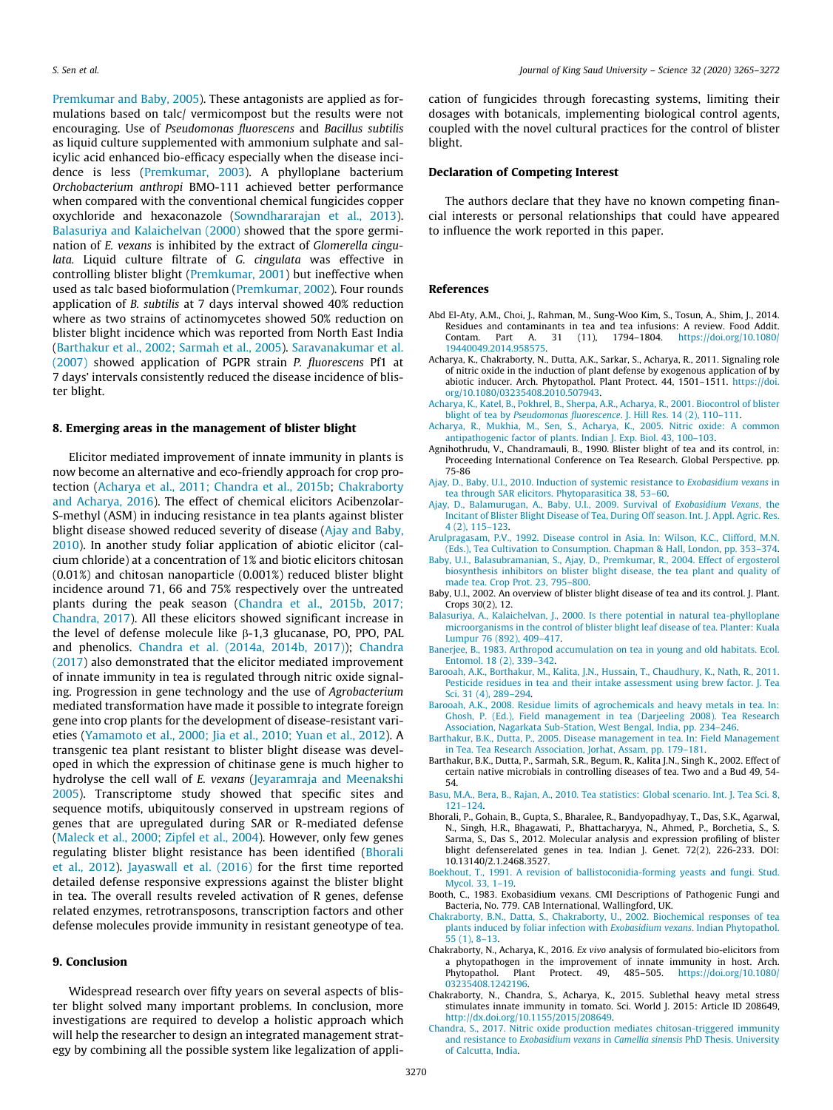Premkumar and Baby, 2005). These antagonists are applied as formulations based on talc/ vermicompost but the results were not encouraging. Use of *Pseudomonas fluorescens* and *Bacillus subtilis* as liquid culture supplemented with ammonium sulphate and salicylic acid enhanced bio-efficacy especially when the disease incidence is less (Premkumar, 2003). A phylloplane bacterium *Orchobacterium anthropi* BMO-111 achieved better performance when compared with the conventional chemical fungicides copper oxychloride and hexaconazole (Sowndhararajan et al., 2013). Balasuriya and Kalaichelvan (2000) showed that the spore germination of *E. vexans* is inhibited by the extract of *Glomerella cingulata.* Liquid culture filtrate of *G. cingulata* was effective in controlling blister blight (Premkumar, 2001) but ineffective when used as talc based bioformulation (Premkumar, 2002). Four rounds application of *B. subtilis* at 7 days interval showed 40% reduction where as two strains of actinomycetes showed 50% reduction on blister blight incidence which was reported from North East India (Barthakur et al., 2002; Sarmah et al., 2005). Saravanakumar et al. (2007) showed application of PGPR strain *P. fluorescens* Pf1 at 7 days' intervals consistently reduced the disease incidence of blister blight.

#### 8. Emerging areas in the management of blister blight

Elicitor mediated improvement of innate immunity in plants is now become an alternative and eco-friendly approach for crop protection (Acharya et al., 2011; Chandra et al., 2015b; Chakraborty and Acharya, 2016). The effect of chemical elicitors Acibenzolar-S-methyl (ASM) in inducing resistance in tea plants against blister blight disease showed reduced severity of disease (Ajay and Baby, 2010). In another study foliar application of abiotic elicitor (calcium chloride) at a concentration of 1% and biotic elicitors chitosan (0.01%) and chitosan nanoparticle (0.001%) reduced blister blight incidence around 71, 66 and 75% respectively over the untreated plants during the peak season (Chandra et al., 2015b, 2017; Chandra, 2017). All these elicitors showed significant increase in the level of defense molecule like  $\beta$ -1,3 glucanase, PO, PPO, PAL and phenolics. Chandra et al. (2014a, 2014b, 2017)); Chandra (2017) also demonstrated that the elicitor mediated improvement of innate immunity in tea is regulated through nitric oxide signaling. Progression in gene technology and the use of *Agrobacterium* mediated transformation have made it possible to integrate foreign gene into crop plants for the development of disease-resistant varieties (Yamamoto et al., 2000; Jia et al., 2010; Yuan et al., 2012). A transgenic tea plant resistant to blister blight disease was developed in which the expression of chitinase gene is much higher to hydrolyse the cell wall of *E. vexans* (Jeyaramraja and Meenakshi 2005). Transcriptome study showed that specific sites and sequence motifs, ubiquitously conserved in upstream regions of genes that are upregulated during SAR or R-mediated defense (Maleck et al., 2000; Zipfel et al., 2004). However, only few genes regulating blister blight resistance has been identified (Bhorali et al., 2012). Jayaswall et al. (2016) for the first time reported detailed defense responsive expressions against the blister blight in tea. The overall results reveled activation of R genes, defense related enzymes, retrotransposons, transcription factors and other defense molecules provide immunity in resistant geneotype of tea.

#### 9. Conclusion

Widespread research over fifty years on several aspects of blister blight solved many important problems. In conclusion, more investigations are required to develop a holistic approach which will help the researcher to design an integrated management strategy by combining all the possible system like legalization of appli-

cation of fungicides through forecasting systems, limiting their dosages with botanicals, implementing biological control agents, coupled with the novel cultural practices for the control of blister blight.

#### Declaration of Competing Interest

The authors declare that they have no known competing financial interests or personal relationships that could have appeared to influence the work reported in this paper.

#### References

- Abd El-Aty, A.M., Choi, J., Rahman, M., Sung-Woo Kim, S., Tosun, A., Shim, J., 2014. Residues and contaminants in tea and tea infusions: A review. Food Addit. Contam. Part A. 31 (11), 1794–1804. https://doi.org/10.1080/ 19440049.2014.958575.
- Acharya, K., Chakraborty, N., Dutta, A.K., Sarkar, S., Acharya, R., 2011. Signaling role of nitric oxide in the induction of plant defense by exogenous application of by abiotic inducer. Arch. Phytopathol. Plant Protect. 44, 1501–1511. https://doi. org/10.1080/03235408.2010.507943.
- Acharya, K., Katel, B., Pokhrel, B., Sherpa, A.R., Acharya, R., 2001. Biocontrol of blister blight of tea by *Pseudomonas fluorescence*. J. Hill Res. 14 (2), 110–111.
- Acharya, R., Mukhia, M., Sen, S., Acharya, K., 2005. Nitric oxide: A common antipathogenic factor of plants. Indian J. Exp. Biol. 43, 100–103.
- Agnihothrudu, V., Chandramauli, B., 1990. Blister blight of tea and its control, in: Proceeding International Conference on Tea Research. Global Perspective. pp. 75-86
- Ajay, D., Baby, U.I., 2010. Induction of systemic resistance to *Exobasidium vexans* in tea through SAR elicitors. Phytoparasitica 38, 53–60.
- Ajay, D., Balamurugan, A., Baby, U.I., 2009. Survival of *Exobasidium Vexans*, the Incitant of Blister Blight Disease of Tea, During Off season. Int. J. Appl. Agric. Res. 4 (2), 115–123.
- Arulpragasam, P.V., 1992. Disease control in Asia. In: Wilson, K.C., Clifford, M.N. (Eds.), Tea Cultivation to Consumption. Chapman & Hall, London, pp. 353–374.
- Baby, U.I., Balasubramanian, S., Ajay, D., Premkumar, R., 2004. Effect of ergosterol biosynthesis inhibitors on blister blight disease, the tea plant and quality of made tea. Crop Prot. 23, 795–800.
- Baby, U.l., 2002. An overview of blister blight disease of tea and its control. J. Plant. Crops 30(2), 12.
- Balasuriya, A., Kalaichelvan, J., 2000. Is there potential in natural tea-phylloplane microorganisms in the control of blister blight leaf disease of tea. Planter: Kuala Lumpur 76 (892), 409–417.
- Banerjee, B., 1983. Arthropod accumulation on tea in young and old habitats. Ecol. Entomol. 18 (2), 339–342.
- Barooah, A.K., Borthakur, M., Kalita, J.N., Hussain, T., Chaudhury, K., Nath, R., 2011. Pesticide residues in tea and their intake assessment using brew factor. J. Tea Sci. 31 (4), 289–294.
- Barooah, A.K., 2008. Residue limits of agrochemicals and heavy metals in tea. In: Ghosh, P. (Ed.), Field management in tea (Darjeeling 2008). Tea Research Association, Nagarkata Sub-Station, West Bengal, India, pp. 234–246.
- Barthakur, B.K., Dutta, P., 2005. Disease management in tea. In: Field Management in Tea. Tea Research Association, Jorhat, Assam, pp. 179–181.
- Barthakur, B.K., Dutta, P., Sarmah, S.R., Begum, R., Kalita J.N., Singh K., 2002. Effect of certain native microbials in controlling diseases of tea. Two and a Bud 49, 54- 54.
- Basu, M.A., Bera, B., Rajan, A., 2010. Tea statistics: Global scenario. Int. J. Tea Sci. 8, 121–124.
- Bhorali, P., Gohain, B., Gupta, S., Bharalee, R., Bandyopadhyay, T., Das, S.K., Agarwal, N., Singh, H.R., Bhagawati, P., Bhattacharyya, N., Ahmed, P., Borchetia, S., S. Sarma, S., Das S., 2012. Molecular analysis and expression profiling of blister blight defenserelated genes in tea. Indian J. Genet. 72(2), 226-233. DOI: 10.13140/2.1.2468.3527.
- Boekhout, T., 1991. A revision of ballistoconidia-forming yeasts and fungi. Stud. Mycol. 33, 1–19.
- Booth, C., 1983. Exobasidium vexans. CMI Descriptions of Pathogenic Fungi and Bacteria, No. 779. CAB International, Wallingford, UK.
- Chakraborty, B.N., Datta, S., Chakraborty, U., 2002. Biochemical responses of tea plants induced by foliar infection with *Exobasidium vexans*. Indian Phytopathol. 55 (1), 8–13.
- Chakraborty, N., Acharya, K., 2016. *Ex vivo* analysis of formulated bio-elicitors from a phytopathogen in the improvement of innate immunity in host. Arch.<br>Phytopathol. Plant Protect. 49. 485-505. https://doi.org/10.1080/ Plant Protect. 49, 485-505. https://doi.org/10.1080/ 03235408.1242196.
- Chakraborty, N., Chandra, S., Acharya, K., 2015. Sublethal heavy metal stress stimulates innate immunity in tomato. Sci. World J. 2015: Article ID 208649, http://dx.doi.org/10.1155/2015/208649.
- Chandra, S., 2017. Nitric oxide production mediates chitosan-triggered immunity and resistance to *Exobasidium vexans* in *Camellia sinensis* PhD Thesis. University of Calcutta, India.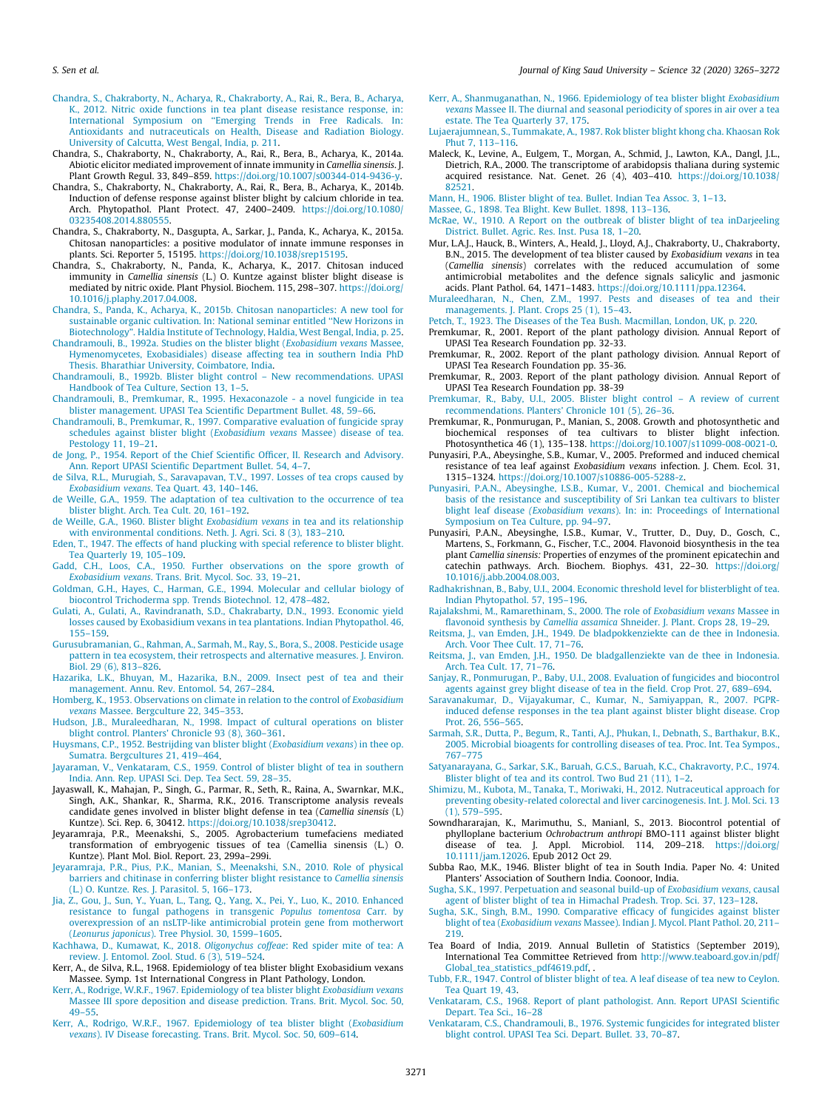- Chandra, S., Chakraborty, N., Acharya, R., Chakraborty, A., Rai, R., Bera, B., Acharya, K., 2012. Nitric oxide functions in tea plant disease resistance response, in: International Symposium on ''Emerging Trends in Free Radicals. In: Antioxidants and nutraceuticals on Health, Disease and Radiation Biology. University of Calcutta, West Bengal, India, p. 211.
- Chandra, S., Chakraborty, N., Chakraborty, A., Rai, R., Bera, B., Acharya, K., 2014a. Abiotic elicitor mediated improvement of innate immunity in *Camellia sinensis*. J. Plant Growth Regul. 33, 849-859. https://doi.org/10.1007/s00344-014-9436-
- Chandra, S., Chakraborty, N., Chakraborty, A., Rai, R., Bera, B., Acharya, K., 2014b. Induction of defense response against blister blight by calcium chloride in tea. Arch. Phytopathol. Plant Protect. 47, 2400–2409. https://doi.org/10.1080/ 03235408.2014.880555.
- Chandra, S., Chakraborty, N., Dasgupta, A., Sarkar, J., Panda, K., Acharya, K., 2015a. Chitosan nanoparticles: a positive modulator of innate immune responses in plants. Sci. Reporter 5, 15195. https://doi.org/10.1038/srep15195.
- Chandra, S., Chakraborty, N., Panda, K., Acharya, K., 2017. Chitosan induced immunity in *Camellia sinensis* (L.) O. Kuntze against blister blight disease is mediated by nitric oxide. Plant Physiol. Biochem. 115, 298–307. https://doi.org/ 10.1016/j.plaphy.2017.04.008.
- Chandra, S., Panda, K., Acharya, K., 2015b. Chitosan nanoparticles: A new tool for sustainable organic cultivation. In: National seminar entitled ''New Horizons in Biotechnology". Haldia Institute of Technology, Haldia, West Bengal, India, p. 25.
- Chandramouli, B., 1992a. Studies on the blister blight (*Exobasidium vexans* Massee, Hymenomycetes, Exobasidiales) disease affecting tea in southern India PhD Thesis. Bharathiar University, Coimbatore, India.
- Chandramouli, B., 1992b. Blister blight control New recommendations. UPASI Handbook of Tea Culture, Section 13, 1–5.
- Chandramouli, B., Premkumar, R., 1995. Hexaconazole a novel fungicide in tea blister management. UPASI Tea Scientific Department Bullet. 48, 59–66.
- Chandramouli, B., Premkumar, R., 1997. Comparative evaluation of fungicide spray schedules against blister blight (*Exobasidium vexans* Massee) disease of tea. Pestology 11, 19–21.
- de Jong, P., 1954. Report of the Chief Scientific Officer, II. Research and Advisory. Ann. Report UPASI Scientific Department Bullet. 54, 4–7.
- de Silva, R.L., Murugiah, S., Saravapavan, T.V., 1997. Losses of tea crops caused by *Exobasidium vexans*. Tea Quart. 43, 140–146.
- de Weille, G.A., 1959. The adaptation of tea cultivation to the occurrence of tea blister blight. Arch. Tea Cult. 20, 161–192.
- de Weille, G.A., 1960. Blister blight *Exobasidium vexans* in tea and its relationship with environmental conditions. Neth. J. Agri. Sci. 8 (3), 183–210.
- Eden, T., 1947. The effects of hand plucking with special reference to blister blight. Tea Quarterly 19, 105–109.
- Gadd, C.H., Loos, C.A., 1950. Further observations on the spore growth of *Exobasidium vexans*. Trans. Brit. Mycol. Soc. 33, 19–21.
- Goldman, G.H., Hayes, C., Harman, G.E., 1994. Molecular and cellular biology of biocontrol Trichoderma spp. Trends Biotechnol. 12, 478–482.
- Gulati, A., Gulati, A., Ravindranath, S.D., Chakrabarty, D.N., 1993. Economic yield losses caused by Exobasidium vexans in tea plantations. Indian Phytopathol. 46, 155–159.
- Gurusubramanian, G., Rahman, A., Sarmah, M., Ray, S., Bora, S., 2008. Pesticide usage pattern in tea ecosystem, their retrospects and alternative measures. J. Environ. Biol. 29 (6), 813–826.
- Hazarika, L.K., Bhuyan, M., Hazarika, B.N., 2009. Insect pest of tea and their management. Annu. Rev. Entomol. 54, 267–284.
- Homberg, K., 1953. Observations on climate in relation to the control of *Exobasidium vexans* Massee. Bergculture 22, 345–353.
- Hudson, J.B., Muraleedharan, N., 1998. Impact of cultural operations on blister blight control. Planters' Chronicle 93 (8), 360–361.
- Huysmans, C.P., 1952. Bestrijding van blister blight (*Exobasidium vexans*) in thee op. Sumatra. Bergcultures 21, 419–464.
- Jayaraman, V., Venkataram, C.S., 1959. Control of blister blight of tea in southern India. Ann. Rep. UPASI Sci. Dep. Tea Sect. 59, 28–35. Jayaswall, K., Mahajan, P., Singh, G., Parmar, R., Seth, R., Raina, A., Swarnkar, M.K.,
- Singh, A.K., Shankar, R., Sharma, R.K., 2016. Transcriptome analysis reveals candidate genes involved in blister blight defense in tea (*Camellia sinensis* (L)
- Kuntze). Sci. Rep. 6, 30412. https://doi.org/10.1038/srep30412. Jeyaramraja, P.R., Meenakshi, S., 2005. Agrobacterium tumefaciens mediated transformation of embryogenic tissues of tea (Camellia sinensis (L.) O. Kuntze). Plant Mol. Biol. Report. 23, 299a–299i.
- Jeyaramraja, P.R., Pius, P.K., Manian, S., Meenakshi, S.N., 2010. Role of physical barriers and chitinase in conferring blister blight resistance to *Camellia sinensis* (L.) O. Kuntze. Res. J. Parasitol. 5, 166–173.
- Jia, Z., Gou, J., Sun, Y., Yuan, L., Tang, Q., Yang, X., Pei, Y., Luo, K., 2010. Enhanced resistance to fungal pathogens in transgenic *Populus tomentosa* Carr. by overexpression of an nsLTP-like antimicrobial protein gene from motherwort (*Leonurus japonicus*). Tree Physiol. 30, 1599–1605.
- Kachhawa, D., Kumawat, K., 2018. *Oligonychus coffeae*: Red spider mite of tea: A review. J. Entomol. Zool. Stud. 6 (3), 519–524.
- Kerr, A., de Silva, R.L., 1968. Epidemiology of tea blister blight Exobasidium vexans Massee. Symp. 1st International Congress in Plant Pathology, London.
- Kerr, A., Rodrige, W.R.F., 1967. Epidemiology of tea blister blight *Exobasidium vexans* Massee III spore deposition and disease prediction. Trans. Brit. Mycol. Soc. 50, 49–55.
- Kerr, A., Rodrigo, W.R.F., 1967. Epidemiology of tea blister blight (*Exobasidium vexans*). IV Disease forecasting. Trans. Brit. Mycol. Soc. 50, 609–614.
- Kerr, A., Shanmuganathan, N., 1966. Epidemiology of tea blister blight *Exobasidium vexans* Massee II. The diurnal and seasonal periodicity of spores in air over a tea estate. The Tea Quarterly 37, 175.
- Lujaerajumnean, S., Tummakate, A., 1987. Rok blister blight khong cha. Khaosan Rok Phut 7, 113–116.
- Maleck, K., Levine, A., Eulgem, T., Morgan, A., Schmid, J., Lawton, K.A., Dangl, J.L., Dietrich, R.A., 2000. The transcriptome of arabidopsis thaliana during systemic acquired resistance. Nat. Genet. 26 (4), 403–410. https://doi.org/10.1038/ 82521.
- Mann, H., 1906. Blister blight of tea. Bullet. Indian Tea Assoc. 3, 1–13.
- Massee, G., 1898. Tea Blight. Kew Bullet. 1898, 113–136.
- McRae, W., 1910. A Report on the outbreak of blister blight of tea inDarjeeling District. Bullet. Agric. Res. Inst. Pusa 18, 1–20.
- Mur, L.A.J., Hauck, B., Winters, A., Heald, J., Lloyd, A.J., Chakraborty, U., Chakraborty, B.N., 2015. The development of tea blister caused by *Exobasidium vexans* in tea (*Camellia sinensis*) correlates with the reduced accumulation of some antimicrobial metabolites and the defence signals salicylic and jasmonic acids. Plant Pathol. 64, 1471–1483. https://doi.org/10.1111/ppa.12364.
- Muraleedharan, N., Chen, Z.M., 1997. Pests and diseases of tea and their managements. J. Plant. Crops 25 (1), 15–43.
- Petch, T., 1923. The Diseases of the Tea Bush. Macmillan, London, UK, p. 220. Premkumar, R., 2001. Report of the plant pathology division. Annual Report of UPASI Tea Research Foundation pp. 32-33.
- Premkumar, R., 2002. Report of the plant pathology division. Annual Report of UPASI Tea Research Foundation pp. 35-36.
- Premkumar, R., 2003. Report of the plant pathology division. Annual Report of UPASI Tea Research Foundation pp. 38-39
- Premkumar, R., Baby, U.I., 2005. Blister blight control A review of current recommendations. Planters' Chronicle 101 (5), 26–36.
- Premkumar, R., Ponmurugan, P., Manian, S., 2008. Growth and photosynthetic and biochemical responses of tea cultivars to blister blight infection. Photosynthetica 46 (1), 135–138. https://doi.org/10.1007/s11099-008-0021-0.
- Punyasiri, P.A., Abeysinghe, S.B., Kumar, V., 2005. Preformed and induced chemical resistance of tea leaf against *Exobasidium vexans* infection. J. Chem. Ecol. 31, 1315–1324. https://doi.org/10.1007/s10886-005-5288-z.
- Punyasiri, P.A.N., Abeysinghe, I.S.B., Kumar, V., 2001. Chemical and biochemical basis of the resistance and susceptibility of Sri Lankan tea cultivars to blister blight leaf disease *(Exobasidium vexans*). In: in: Proceedings of International Symposium on Tea Culture, pp. 94–97.
- Punyasiri, P.A.N., Abeysinghe, I.S.B., Kumar, V., Trutter, D., Duy, D., Gosch, C., Martens, S., Forkmann, G., Fischer, T.C., 2004. Flavonoid biosynthesis in the tea plant *Camellia sinensis:* Properties of enzymes of the prominent epicatechin and catechin pathways. Arch. Biochem. Biophys. 431, 22–30. https://doi.org/ 10.1016/j.abb.2004.08.003.
- Radhakrishnan, B., Baby, U.I., 2004. Economic threshold level for blisterblight of tea. Indian Phytopathol. 57, 195–196.
- Rajalakshmi, M., Ramarethinam, S., 2000. The role of *Exobasidium vexans* Massee in flavonoid synthesis by *Camellia assamica* Shneider. J. Plant. Crops 28, 19–29.
- Reitsma, J., van Emden, J.H., 1949. De bladpokkenziekte can de thee in Indonesia. Arch. Voor Thee Cult. 17, 71–76.
- Reitsma, J., van Emden, J.H., 1950. De bladgallenziekte van de thee in Indonesia. Arch. Tea Cult. 17, 71–76.
- Sanjay, R., Ponmurugan, P., Baby, U.I., 2008. Evaluation of fungicides and biocontrol
- agents against grey blight disease of tea in the field. Crop Prot. 27, 689–694. Saravanakumar, D., Vijayakumar, C., Kumar, N., Samiyappan, R., 2007. PGPRinduced defense responses in the tea plant against blister blight disease. Crop Prot. 26, 556–565.
- Sarmah, S.R., Dutta, P., Begum, R., Tanti, A.J., Phukan, I., Debnath, S., Barthakur, B.K., 2005. Microbial bioagents for controlling diseases of tea. Proc. Int. Tea Sympos., 767–775
- Satyanarayana, G., Sarkar, S.K., Baruah, G.C.S., Baruah, K.C., Chakravorty, P.C., 1974. Blister blight of tea and its control. Two Bud 21 (11), 1–2.
- Shimizu, M., Kubota, M., Tanaka, T., Moriwaki, H., 2012. Nutraceutical approach for preventing obesity-related colorectal and liver carcinogenesis. Int. J. Mol. Sci. 13 (1), 579–595.
- Sowndhararajan, K., Marimuthu, S., Manianl, S., 2013. Biocontrol potential of phylloplane bacterium *Ochrobactrum anthropi* BMO-111 against blister blight disease of tea. J. Appl. Microbiol. 114, 209–218. https://doi.org/ 10.1111/jam.12026. Epub 2012 Oct 29.
- Subba Rao, M.K., 1946. Blister blight of tea in South India. Paper No. 4: United Planters' Association of Southern India. Coonoor, India.

Sugha, S.K., 1997. Perpetuation and seasonal build-up of *Exobasidium vexans*, causal agent of blister blight of tea in Himachal Pradesh. Trop. Sci. 37, 123–128.

- Sugha, S.K., Singh, B.M., 1990. Comparative efficacy of fungicides against blister blight of tea (*Exobasidium vexans* Massee). Indian J. Mycol. Plant Pathol. 20, 211– 219.
- Tea Board of India, 2019. Annual Bulletin of Statistics (September 2019), International Tea Committee Retrieved from http://www.teaboard.gov.in/pdf/ Global\_tea\_statistics\_pdf4619.pdf, .
- Tubb, F.R., 1947. Control of blister blight of tea. A leaf disease of tea new to Ceylon. Tea Quart 19, 43.
- Venkataram, C.S., 1968. Report of plant pathologist. Ann. Report UPASI Scientific Depart. Tea Sci., 16–28
- Venkataram, C.S., Chandramouli, B., 1976. Systemic fungicides for integrated blister blight control. UPASI Tea Sci. Depart. Bullet. 33, 70–87.